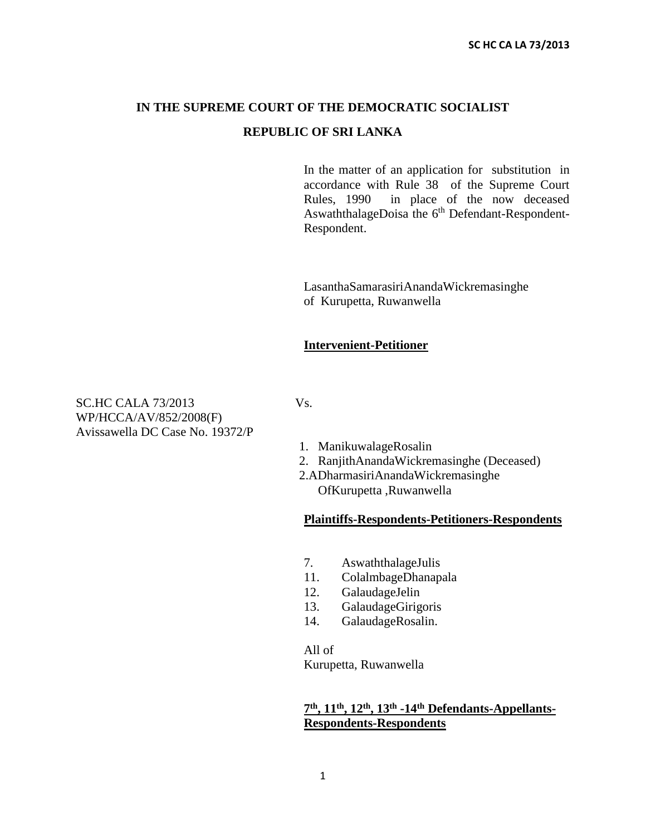# **IN THE SUPREME COURT OF THE DEMOCRATIC SOCIALIST REPUBLIC OF SRI LANKA**

In the matter of an application for substitution in accordance with Rule 38 of the Supreme Court Rules, 1990 in place of the now deceased AswaththalageDoisa the 6<sup>th</sup> Defendant-Respondent-Respondent.

LasanthaSamarasiriAnandaWickremasinghe of Kurupetta, Ruwanwella

#### **Intervenient-Petitioner**

SC.HC CALA 73/2013 Vs. WP/HCCA/AV/852/2008(F) Avissawella DC Case No. 19372/P

- 1. ManikuwalageRosalin
- 2. RanjithAnandaWickremasinghe (Deceased)
- 2.ADharmasiriAnandaWickremasinghe OfKurupetta ,Ruwanwella

#### **Plaintiffs-Respondents-Petitioners-Respondents**

- 7. AswaththalageJulis
- 11. ColalmbageDhanapala
- 12. GalaudageJelin
- 13. GalaudageGirigoris
- 14. GalaudageRosalin.

All of Kurupetta, Ruwanwella

### **7 th, 11th, 12th, 13th -14th Defendants-Appellants-Respondents-Respondents**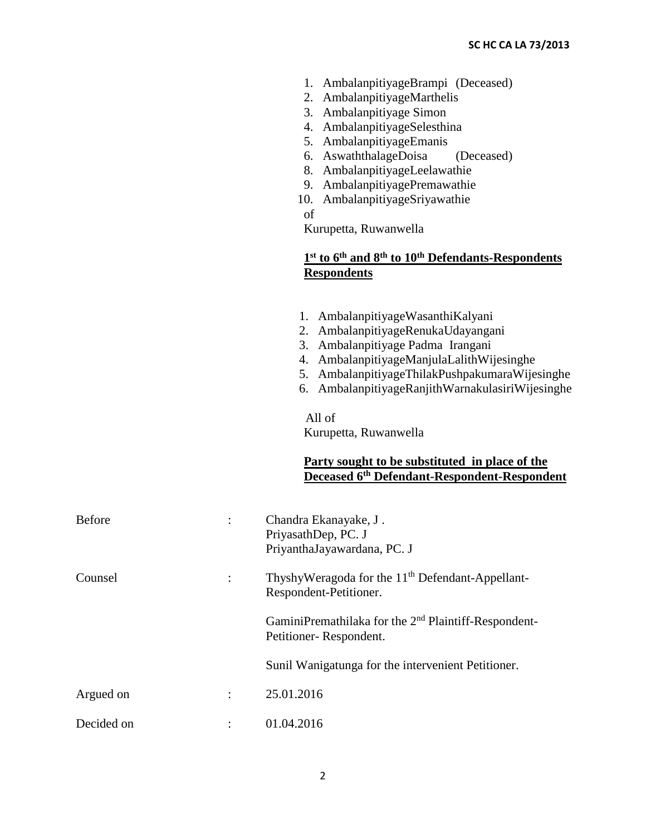- 1. AmbalanpitiyageBrampi (Deceased)
- 2. AmbalanpitiyageMarthelis
- 3. Ambalanpitiyage Simon
- 4. AmbalanpitiyageSelesthina
- 5. AmbalanpitiyageEmanis
- 6. AswaththalageDoisa (Deceased)
- 8. AmbalanpitiyageLeelawathie
- 9. AmbalanpitiyagePremawathie
- 10. AmbalanpitiyageSriyawathie
- of

Kurupetta, Ruwanwella

# **1 st to 6th and 8th to 10th Defendants-Respondents Respondents**

1. AmbalanpitiyageWasanthiKalyani 2. AmbalanpitiyageRenukaUdayangani 3. Ambalanpitiyage Padma Irangani 4. AmbalanpitiyageManjulaLalithWijesinghe 5. AmbalanpitiyageThilakPushpakumaraWijesinghe 6. AmbalanpitiyageRanjithWarnakulasiriWijesinghe All of Kurupetta, Ruwanwella **Party sought to be substituted in place of the Deceased 6th Defendant-Respondent-Respondent** Before : Chandra Ekanayake, J. PriyasathDep, PC. J PriyanthaJayawardana, PC. J Counsel : ThyshyWeragoda for the 11<sup>th</sup> Defendant-Appellant-Respondent-Petitioner. GaminiPremathilaka for the 2<sup>nd</sup> Plaintiff-Respondent-Petitioner- Respondent. Sunil Wanigatunga for the intervenient Petitioner. Argued on : 25.01.2016 Decided on : 01.04.2016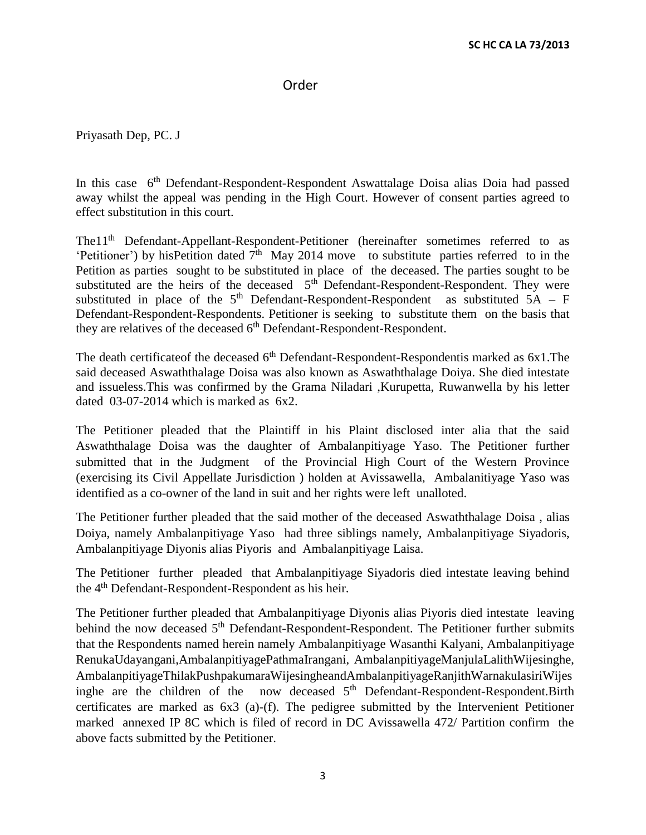### Order

Priyasath Dep, PC. J

In this case 6<sup>th</sup> Defendant-Respondent-Respondent Aswattalage Doisa alias Doia had passed away whilst the appeal was pending in the High Court. However of consent parties agreed to effect substitution in this court.

The 1<sup>th</sup> Defendant-Appellant-Respondent-Petitioner (hereinafter sometimes referred to as 'Petitioner') by hisPetition dated  $7<sup>th</sup>$  May 2014 move to substitute parties referred to in the Petition as parties sought to be substituted in place of the deceased. The parties sought to be substituted are the heirs of the deceased  $5<sup>th</sup>$  Defendant-Respondent-Respondent. They were substituted in place of the  $5<sup>th</sup>$  Defendant-Respondent-Respondent as substituted  $5A - F$ Defendant-Respondent-Respondents. Petitioner is seeking to substitute them on the basis that they are relatives of the deceased  $6<sup>th</sup>$  Defendant-Respondent-Respondent.

The death certificate of the deceased  $6<sup>th</sup>$  Defendant-Respondent-Respondentis marked as 6x1.The said deceased Aswaththalage Doisa was also known as Aswaththalage Doiya. She died intestate and issueless.This was confirmed by the Grama Niladari ,Kurupetta, Ruwanwella by his letter dated 03-07-2014 which is marked as 6x2.

The Petitioner pleaded that the Plaintiff in his Plaint disclosed inter alia that the said Aswaththalage Doisa was the daughter of Ambalanpitiyage Yaso. The Petitioner further submitted that in the Judgment of the Provincial High Court of the Western Province (exercising its Civil Appellate Jurisdiction ) holden at Avissawella, Ambalanitiyage Yaso was identified as a co-owner of the land in suit and her rights were left unalloted.

The Petitioner further pleaded that the said mother of the deceased Aswaththalage Doisa , alias Doiya, namely Ambalanpitiyage Yaso had three siblings namely, Ambalanpitiyage Siyadoris, Ambalanpitiyage Diyonis alias Piyoris and Ambalanpitiyage Laisa.

The Petitioner further pleaded that Ambalanpitiyage Siyadoris died intestate leaving behind the 4<sup>th</sup> Defendant-Respondent-Respondent as his heir.

The Petitioner further pleaded that Ambalanpitiyage Diyonis alias Piyoris died intestate leaving behind the now deceased 5<sup>th</sup> Defendant-Respondent-Respondent. The Petitioner further submits that the Respondents named herein namely Ambalanpitiyage Wasanthi Kalyani, Ambalanpitiyage RenukaUdayangani,AmbalanpitiyagePathmaIrangani, AmbalanpitiyageManjulaLalithWijesinghe, AmbalanpitiyageThilakPushpakumaraWijesingheandAmbalanpitiyageRanjithWarnakulasiriWijes inghe are the children of the now deceased  $5<sup>th</sup>$  Defendant-Respondent-Respondent. Birth certificates are marked as 6x3 (a)-(f). The pedigree submitted by the Intervenient Petitioner marked annexed IP 8C which is filed of record in DC Avissawella 472/ Partition confirm the above facts submitted by the Petitioner.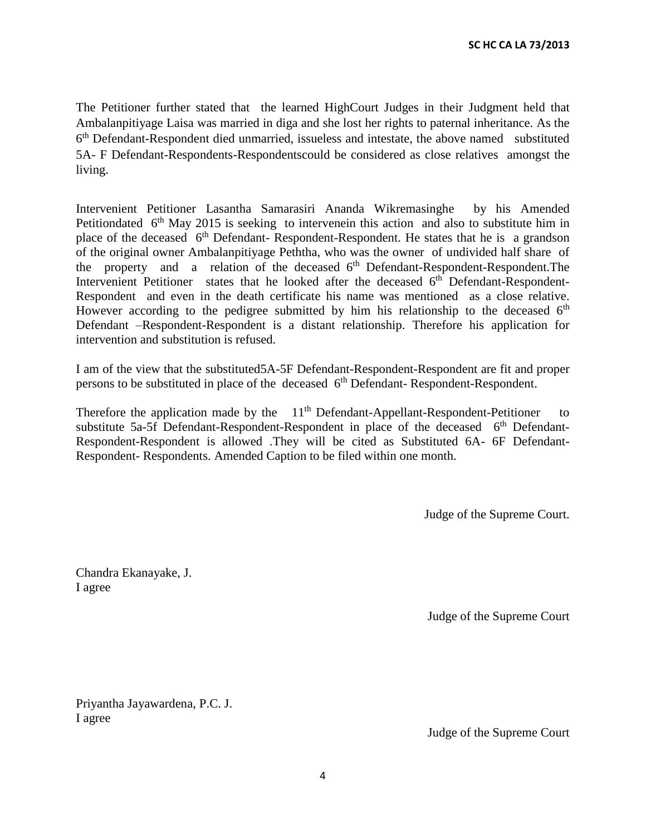The Petitioner further stated that the learned HighCourt Judges in their Judgment held that Ambalanpitiyage Laisa was married in diga and she lost her rights to paternal inheritance. As the 6<sup>th</sup> Defendant-Respondent died unmarried, issueless and intestate, the above named substituted 5A- F Defendant-Respondents-Respondentscould be considered as close relatives amongst the living.

Intervenient Petitioner Lasantha Samarasiri Ananda Wikremasinghe by his Amended Petitiondated  $6<sup>th</sup>$  May 2015 is seeking to intervenein this action and also to substitute him in place of the deceased 6<sup>th</sup> Defendant-Respondent-Respondent. He states that he is a grandson of the original owner Ambalanpitiyage Peththa, who was the owner of undivided half share of the property and a relation of the deceased  $6<sup>th</sup>$  Defendant-Respondent-Respondent. The Intervenient Petitioner states that he looked after the deceased 6<sup>th</sup> Defendant-Respondent-Respondent and even in the death certificate his name was mentioned as a close relative. However according to the pedigree submitted by him his relationship to the deceased  $6<sup>th</sup>$ Defendant –Respondent-Respondent is a distant relationship. Therefore his application for intervention and substitution is refused.

I am of the view that the substituted5A-5F Defendant-Respondent-Respondent are fit and proper persons to be substituted in place of the deceased 6<sup>th</sup> Defendant-Respondent-Respondent.

Therefore the application made by the  $11<sup>th</sup>$  Defendant-Appellant-Respondent-Petitioner to substitute 5a-5f Defendant-Respondent-Respondent in place of the deceased  $6<sup>th</sup>$  Defendant-Respondent-Respondent is allowed .They will be cited as Substituted 6A- 6F Defendant-Respondent- Respondents. Amended Caption to be filed within one month.

Judge of the Supreme Court.

Chandra Ekanayake, J. I agree

Judge of the Supreme Court

Priyantha Jayawardena, P.C. J. I agree

Judge of the Supreme Court